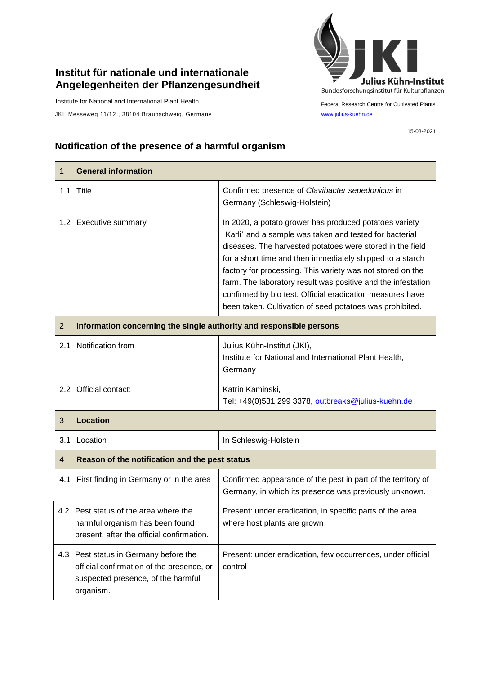## **Institut für nationale und internationale Angelegenheiten der Pflanzengesundheit**

Institute for National and International Plant Health

JKI, Messeweg 11/12, 38104 Braunschweig, Germany [www.julius-kuehn.de](http://www.julius-kuehn.de/)



Federal Research Centre for Cultivated Plants

15-03-2021

## **Notification of the presence of a harmful organism**

| 1              | <b>General information</b>                                                                                                            |                                                                                                                                                                                                                                                                                                                                                                                                                                                                                                    |  |
|----------------|---------------------------------------------------------------------------------------------------------------------------------------|----------------------------------------------------------------------------------------------------------------------------------------------------------------------------------------------------------------------------------------------------------------------------------------------------------------------------------------------------------------------------------------------------------------------------------------------------------------------------------------------------|--|
|                | 1.1 Title                                                                                                                             | Confirmed presence of Clavibacter sepedonicus in<br>Germany (Schleswig-Holstein)                                                                                                                                                                                                                                                                                                                                                                                                                   |  |
|                | 1.2 Executive summary                                                                                                                 | In 2020, a potato grower has produced potatoes variety<br>'Karli' and a sample was taken and tested for bacterial<br>diseases. The harvested potatoes were stored in the field<br>for a short time and then immediately shipped to a starch<br>factory for processing. This variety was not stored on the<br>farm. The laboratory result was positive and the infestation<br>confirmed by bio test. Official eradication measures have<br>been taken. Cultivation of seed potatoes was prohibited. |  |
| $\overline{2}$ | Information concerning the single authority and responsible persons                                                                   |                                                                                                                                                                                                                                                                                                                                                                                                                                                                                                    |  |
|                | 2.1 Notification from                                                                                                                 | Julius Kühn-Institut (JKI),<br>Institute for National and International Plant Health,<br>Germany                                                                                                                                                                                                                                                                                                                                                                                                   |  |
|                | 2.2 Official contact:                                                                                                                 | Katrin Kaminski,<br>Tel: +49(0)531 299 3378, outbreaks@julius-kuehn.de                                                                                                                                                                                                                                                                                                                                                                                                                             |  |
| 3              | <b>Location</b>                                                                                                                       |                                                                                                                                                                                                                                                                                                                                                                                                                                                                                                    |  |
| 3.1            | Location                                                                                                                              | In Schleswig-Holstein                                                                                                                                                                                                                                                                                                                                                                                                                                                                              |  |
| 4              | Reason of the notification and the pest status                                                                                        |                                                                                                                                                                                                                                                                                                                                                                                                                                                                                                    |  |
|                | 4.1 First finding in Germany or in the area                                                                                           | Confirmed appearance of the pest in part of the territory of<br>Germany, in which its presence was previously unknown.                                                                                                                                                                                                                                                                                                                                                                             |  |
|                | 4.2 Pest status of the area where the<br>harmful organism has been found<br>present, after the official confirmation.                 | Present: under eradication, in specific parts of the area<br>where host plants are grown                                                                                                                                                                                                                                                                                                                                                                                                           |  |
|                | 4.3 Pest status in Germany before the<br>official confirmation of the presence, or<br>suspected presence, of the harmful<br>organism. | Present: under eradication, few occurrences, under official<br>control                                                                                                                                                                                                                                                                                                                                                                                                                             |  |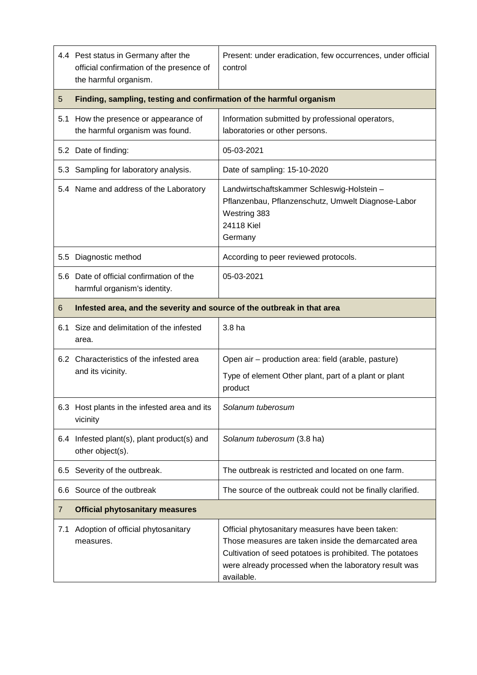|     | 4.4 Pest status in Germany after the<br>official confirmation of the presence of<br>the harmful organism. | Present: under eradication, few occurrences, under official<br>control                                                                                                                                                                     |  |
|-----|-----------------------------------------------------------------------------------------------------------|--------------------------------------------------------------------------------------------------------------------------------------------------------------------------------------------------------------------------------------------|--|
| 5   | Finding, sampling, testing and confirmation of the harmful organism                                       |                                                                                                                                                                                                                                            |  |
| 5.1 | How the presence or appearance of<br>the harmful organism was found.                                      | Information submitted by professional operators,<br>laboratories or other persons.                                                                                                                                                         |  |
|     | 5.2 Date of finding:                                                                                      | 05-03-2021                                                                                                                                                                                                                                 |  |
| 5.3 | Sampling for laboratory analysis.                                                                         | Date of sampling: 15-10-2020                                                                                                                                                                                                               |  |
|     | 5.4 Name and address of the Laboratory                                                                    | Landwirtschaftskammer Schleswig-Holstein -<br>Pflanzenbau, Pflanzenschutz, Umwelt Diagnose-Labor<br>Westring 383<br>24118 Kiel<br>Germany                                                                                                  |  |
| 5.5 | Diagnostic method                                                                                         | According to peer reviewed protocols.                                                                                                                                                                                                      |  |
|     | 5.6 Date of official confirmation of the<br>harmful organism's identity.                                  | 05-03-2021                                                                                                                                                                                                                                 |  |
| 6   | Infested area, and the severity and source of the outbreak in that area                                   |                                                                                                                                                                                                                                            |  |
| 6.1 | Size and delimitation of the infested<br>area.                                                            | 3.8 ha                                                                                                                                                                                                                                     |  |
|     | 6.2 Characteristics of the infested area<br>and its vicinity.                                             | Open air - production area: field (arable, pasture)<br>Type of element Other plant, part of a plant or plant<br>product                                                                                                                    |  |
|     | 6.3 Host plants in the infested area and its<br>vicinity                                                  | Solanum tuberosum                                                                                                                                                                                                                          |  |
|     | 6.4 Infested plant(s), plant product(s) and<br>other object(s).                                           | Solanum tuberosum (3.8 ha)                                                                                                                                                                                                                 |  |
|     | 6.5 Severity of the outbreak.                                                                             | The outbreak is restricted and located on one farm.                                                                                                                                                                                        |  |
|     | 6.6 Source of the outbreak                                                                                | The source of the outbreak could not be finally clarified.                                                                                                                                                                                 |  |
| 7   | <b>Official phytosanitary measures</b>                                                                    |                                                                                                                                                                                                                                            |  |
| 7.1 | Adoption of official phytosanitary<br>measures.                                                           | Official phytosanitary measures have been taken:<br>Those measures are taken inside the demarcated area<br>Cultivation of seed potatoes is prohibited. The potatoes<br>were already processed when the laboratory result was<br>available. |  |